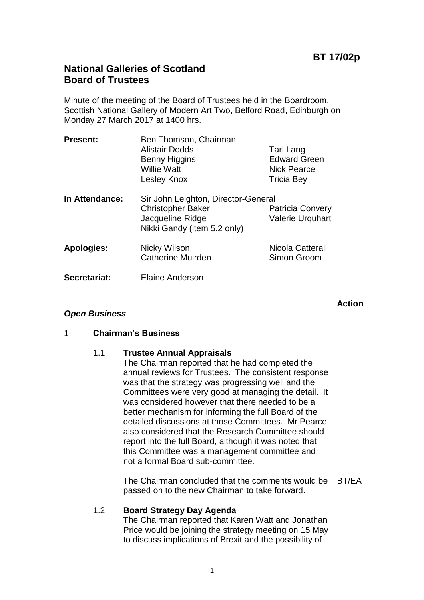# **National Galleries of Scotland Board of Trustees**

Minute of the meeting of the Board of Trustees held in the Boardroom, Scottish National Gallery of Modern Art Two, Belford Road, Edinburgh on Monday 27 March 2017 at 1400 hrs.

| <b>Present:</b>   | Ben Thomson, Chairman<br><b>Alistair Dodds</b><br><b>Benny Higgins</b><br><b>Willie Watt</b><br>Lesley Knox        | Tari Lang<br><b>Edward Green</b><br><b>Nick Pearce</b><br>Tricia Bey |
|-------------------|--------------------------------------------------------------------------------------------------------------------|----------------------------------------------------------------------|
| In Attendance:    | Sir John Leighton, Director-General<br><b>Christopher Baker</b><br>Jacqueline Ridge<br>Nikki Gandy (item 5.2 only) | <b>Patricia Convery</b><br><b>Valerie Urquhart</b>                   |
| <b>Apologies:</b> | Nicky Wilson<br><b>Catherine Muirden</b>                                                                           | Nicola Catterall<br>Simon Groom                                      |
| Secretariat:      | <b>Elaine Anderson</b>                                                                                             |                                                                      |

**Action**

#### *Open Business*

#### 1 **Chairman's Business**

#### 1.1 **Trustee Annual Appraisals**

The Chairman reported that he had completed the annual reviews for Trustees. The consistent response was that the strategy was progressing well and the Committees were very good at managing the detail. It was considered however that there needed to be a better mechanism for informing the full Board of the detailed discussions at those Committees. Mr Pearce also considered that the Research Committee should report into the full Board, although it was noted that this Committee was a management committee and not a formal Board sub-committee.

The Chairman concluded that the comments would be BT/EA passed on to the new Chairman to take forward.

## 1.2 **Board Strategy Day Agenda**

The Chairman reported that Karen Watt and Jonathan Price would be joining the strategy meeting on 15 May to discuss implications of Brexit and the possibility of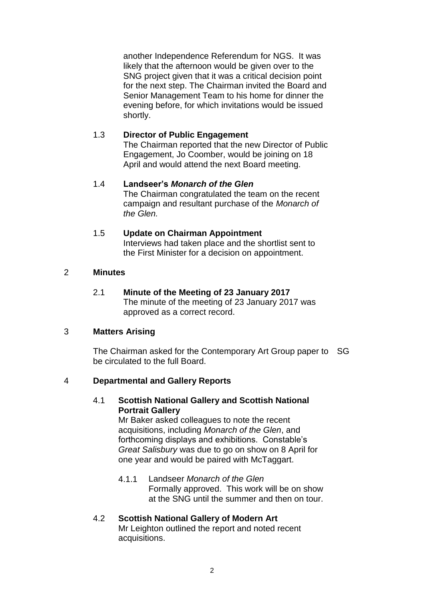another Independence Referendum for NGS. It was likely that the afternoon would be given over to the SNG project given that it was a critical decision point for the next step. The Chairman invited the Board and Senior Management Team to his home for dinner the evening before, for which invitations would be issued shortly.

## 1.3 **Director of Public Engagement**

The Chairman reported that the new Director of Public Engagement, Jo Coomber, would be joining on 18 April and would attend the next Board meeting.

#### 1.4 **Landseer's** *Monarch of the Glen* The Chairman congratulated the team on the recent campaign and resultant purchase of the *Monarch of the Glen.*

#### 1.5 **Update on Chairman Appointment** Interviews had taken place and the shortlist sent to the First Minister for a decision on appointment.

#### 2 **Minutes**

2.1 **Minute of the Meeting of 23 January 2017** The minute of the meeting of 23 January 2017 was approved as a correct record.

#### 3 **Matters Arising**

The Chairman asked for the Contemporary Art Group paper to SG be circulated to the full Board.

### 4 **Departmental and Gallery Reports**

#### 4.1 **Scottish National Gallery and Scottish National Portrait Gallery**

Mr Baker asked colleagues to note the recent acquisitions, including *Monarch of the Glen*, and forthcoming displays and exhibitions. Constable's *Great Salisbury* was due to go on show on 8 April for one year and would be paired with McTaggart.

4.1.1 Landseer *Monarch of the Glen* Formally approved. This work will be on show at the SNG until the summer and then on tour.

# 4.2 **Scottish National Gallery of Modern Art**

Mr Leighton outlined the report and noted recent acquisitions.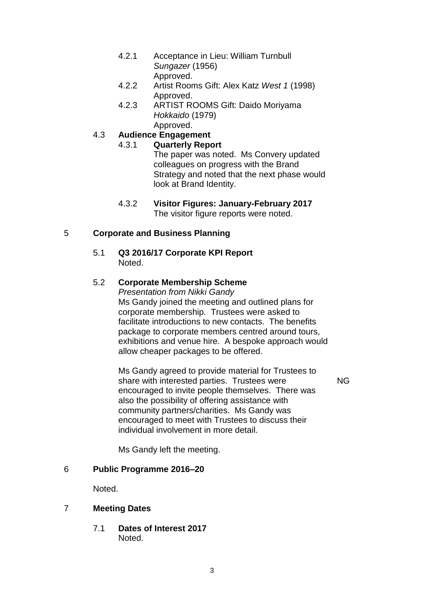- 4.2.1 Acceptance in Lieu: William Turnbull *Sungazer* (1956) Approved.
- 4.2.2 Artist Rooms Gift: Alex Katz *West 1* (1998) Approved.
- 4.2.3 ARTIST ROOMS Gift: Daido Moriyama *Hokkaido* (1979) Approved.

#### 4.3 **Audience Engagement** 4.3.1 **Quarterly Report**

The paper was noted. Ms Convery updated colleagues on progress with the Brand Strategy and noted that the next phase would look at Brand Identity.

4.3.2 **Visitor Figures: January-February 2017** The visitor figure reports were noted.

## 5 **Corporate and Business Planning**

5.1 **Q3 2016/17 Corporate KPI Report** Noted.

## 5.2 **Corporate Membership Scheme**

*Presentation from Nikki Gandy*  Ms Gandy joined the meeting and outlined plans for corporate membership. Trustees were asked to facilitate introductions to new contacts. The benefits package to corporate members centred around tours, exhibitions and venue hire. A bespoke approach would allow cheaper packages to be offered.

Ms Gandy agreed to provide material for Trustees to share with interested parties. Trustees were encouraged to invite people themselves. There was also the possibility of offering assistance with community partners/charities. Ms Gandy was encouraged to meet with Trustees to discuss their individual involvement in more detail.

NG

Ms Gandy left the meeting.

## 6 **Public Programme 2016–20**

Noted.

## 7 **Meeting Dates**

7.1 **Dates of Interest 2017** Noted.